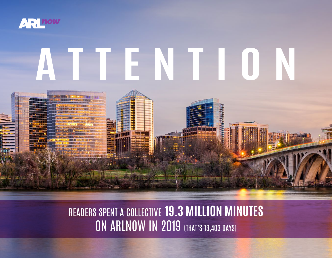

# **ATTENTION**

### READERS SPENT A COLLECTIVE **19.3 MILLION MINUTES ON ARLNOW IN 2019 (THAT'S 13,403 DAYS)**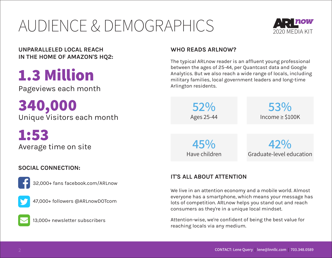### AUDIENCE & DEMOGRAPHICS



**UNPARALLELED LOCAL REACH WHO READS ARLNOW? IN THE HOME OF AMAZON'S HQ2:**

### **1.3 Million**

Pageviews each month

**340,000** Unique Visitors each month

**1:53** Average time on site

### **SOCIAL CONNECTION:**



32,000+ fans facebook.com/ARLnow



47,000+ followers @ARLnowDOTcom



13,000+ newsletter subscribers

The typical ARLnow reader is an affluent young professional between the ages of 25-44, per Quantcast data and Google Analytics. But we also reach a wide range of locals, including military families, local government leaders and long-time Arlington residents.

> **52%** Ages 25-44

**53%** Income ≥ \$100K

**45%** Have children

**42%** Graduate-level education

### **IT'S ALL ABOUT ATTENTION**

We live in an attention economy and a mobile world. Almost everyone has a smartphone, which means your message has lots of competition. ARLnow helps you stand out and reach consumers as they're in a unique local mindset.

Attention-wise, we're confident of being the best value for reaching locals via any medium.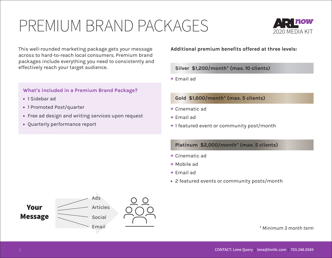### PREMIUM BRAND PACKAGES



This well-rounded marketing package gets your message across to hard-to-reach local consumers. Premium brand packages include everything you need to consistently and effectively reach your target audience.

#### **What's included in a Premium Brand Package?**

- **•** 1 Sidebar ad
- **•** 1 Promoted Post/quarter
- **•** Free ad design and writing services upon request
- **•** Quarterly performance report

#### **Additional premium benefits offered at three levels:**

#### **Silver \$1,200/month\* (max. 10 clients)**

**+** Email ad

#### **Gold \$1,600/month\* (max. 5 clients)**

- **+** Cinematic ad
- **+** Email ad
- **+** 1 featured event or community post/month

#### **Platinum \$2,000/month\* (max. 5 clients)**

- **+** Cinematic ad
- **+** Mobile ad
- **+** Email ad
- **•** 2 featured events or community posts/month



*\* Minimum 3 month term*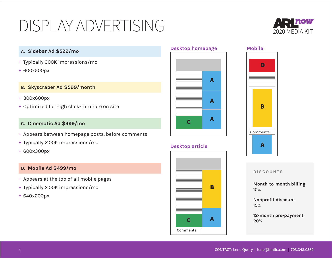### DISPLAY ADVERTISING 2020 MEDIA KIT



#### **A. Sidebar Ad \$599/mo**

- **+** Typically 300K impressions/mo
- **+** 600x500px

#### **B. Skyscraper Ad \$599/month**

- **+** 300x600px
- **+** Optimized for high click-thru rate on site

#### **C. Cinematic Ad \$499/mo**

- **+** Appears between homepage posts, before comments
- **+** Typically >100K impressions/mo
- **+** 600x300px

#### **D. Mobile Ad \$499/mo**

- **+** Appears at the top of all mobile pages
- **+** Typically >100K impressions/mo
- **+** 640x200px





#### **Desktop article**



#### **Mobile**



#### **DISCOUNTS**

**Month-to-month billing** 10%

**Nonprofit discount** 15%

**12-month pre-payment** 20%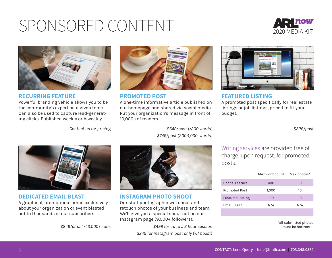## SPONSORED CONTENT





#### **RECURRING FEATURE**

Powerful branding vehicle allows you to be the community's expert on a given topic. Can also be used to capture lead-generating clicks. Published weekly or biweekly.



**PROMOTED POST** 

A one-time informative article published on our homepage and shared via social media. Put your organization's message in front of 10,000s of readers.



**FEATURED LISTING** A promoted post specifically for real estate listings or job listings, priced to fit your budget.

*\$329/post*



*\$649/post (>200 words) \$749/post (200-1,000 words)*



**DEDICATED EMAIL BLAST**

A graphical, promotional email exclusively about your organization or event blasted out to thousands of our subscribers.



**INSTAGRAM PHOTO SHOOT** Our staff photographer will shoot and retouch photos of your business and team. We'll give you a special shout out on our Instagram page (9,000+ followers).

*\$849/email - 13,000+ subs \$499 for up to a 2 hour session \$249 for Instagram post only (w/ boost)* Writing services are provided free of charge, upon request, for promoted posts.

|                         | Max word count | Max photos* |
|-------------------------|----------------|-------------|
| Spons. Feature          | 600            | 10          |
| <b>Promoted Post</b>    | 1.000          | 10          |
| <b>Featured Listing</b> | 150            | 10          |
| <b>Email Blast</b>      | N/A            | N/A         |
|                         |                |             |

\*all submitted photos must be horizontal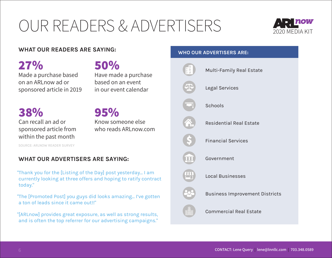## OUR READERS & ADVERTISERS



#### **WHAT OUR READERS ARE SAYING:**

**27%** Made a purchase based on an ARLnow ad or sponsored article in 2019

**50%** Have made a purchase based on an event

**38%** Can recall an ad or sponsored article from within the past month

**95%** Know someone else who reads ARLnow.com

SOURCE: ARLNOW READER SURVEY

#### **WHAT OUR ADVERTISERS ARE SAYING:**

"Thank you for the [Listing of the Day] post yesterday... I am currently looking at three offers and hoping to ratify contract today."

"The [Promoted Post] you guys did looks amazing... I've gotten a ton of leads since it came out!!"

"[ARLnow] provides great exposure, as well as strong results, and is often the top referrer for our advertising campaigns."

#### **WHO OUR ADVERTISERS ARE:**